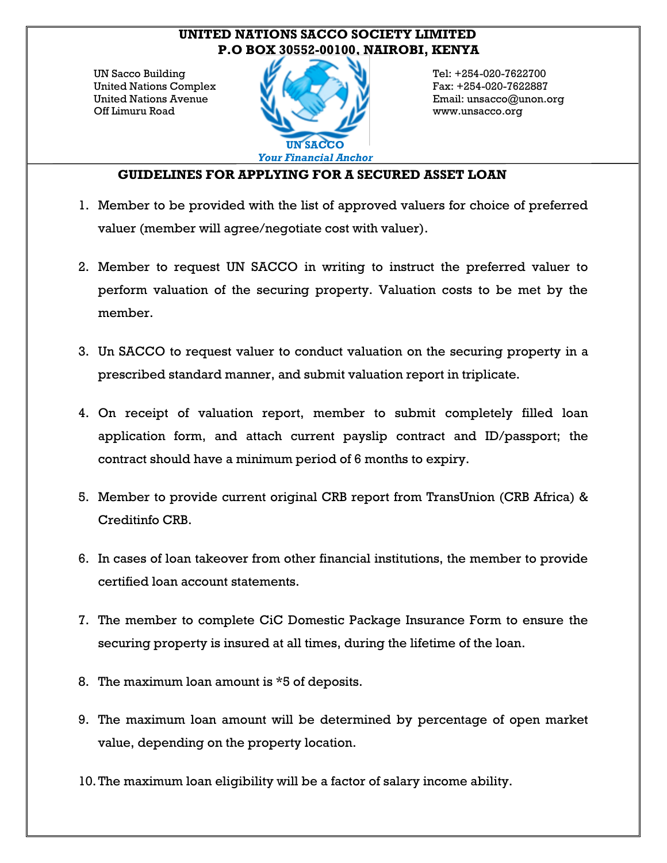## **UNITED NATIONS SACCO SOCIETY LIMITED P.O BOX 30552-00100, NAIROBI, KENYA**

UN Sacco Building United Nations Complex United Nations Avenue Off Limuru Road



Tel: +254-020-7622700 Fax: +254-020-7622887 Email: unsacco@unon.org www.unsacco.org

## **GUIDELINES FOR APPLYING FOR A SECURED ASSET LOAN**

- 1. Member to be provided with the list of approved valuers for choice of preferred valuer (member will agree/negotiate cost with valuer).
- 2. Member to request UN SACCO in writing to instruct the preferred valuer to perform valuation of the securing property. Valuation costs to be met by the member.
- 3. Un SACCO to request valuer to conduct valuation on the securing property in a prescribed standard manner, and submit valuation report in triplicate.
- 4. On receipt of valuation report, member to submit completely filled loan application form, and attach current payslip contract and ID/passport; the contract should have a minimum period of 6 months to expiry.
- 5. Member to provide current original CRB report from TransUnion (CRB Africa) & Creditinfo CRB.
- 6. In cases of loan takeover from other financial institutions, the member to provide certified loan account statements.
- 7. The member to complete CiC Domestic Package Insurance Form to ensure the securing property is insured at all times, during the lifetime of the loan.
- 8. The maximum loan amount is \*5 of deposits.
- 9. The maximum loan amount will be determined by percentage of open market value, depending on the property location.
- 10.The maximum loan eligibility will be a factor of salary income ability.